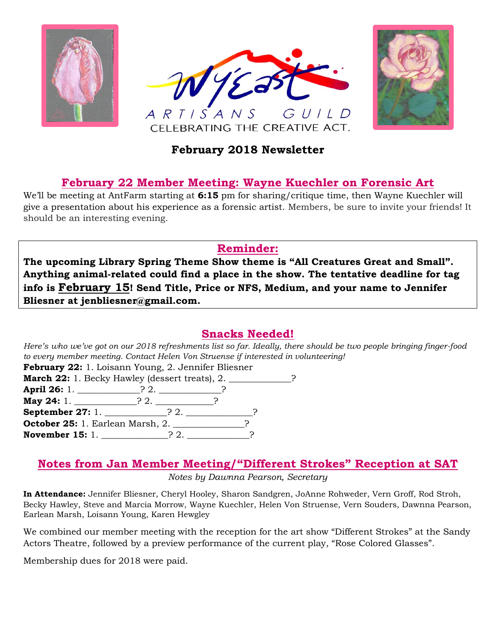





## **February 2018 Newsletter**

## **February 22 Member Meeting: Wayne Kuechler on Forensic Art**

We'll be meeting at AntFarm starting at **6:15** pm for sharing/critique time, then Wayne Kuechler will give a presentation about his experience as a forensic artist. Members, be sure to invite your friends! It should be an interesting evening.

### **Reminder:**

**The upcoming Library Spring Theme Show theme is "All Creatures Great and Small". Anything animal-related could find a place in the show. The tentative deadline for tag info is February 15! Send Title, Price or NFS, Medium, and your name to Jennifer Bliesner at jenbliesner@gmail.com.**

## **Snacks Needed!**

*Here's who we've got on our 2018 refreshments list so far. Ideally, there should be two people bringing finger-food to every member meeting. Contact Helen Von Struense if interested in volunteering!*

| February 22: 1. Loisann Young, 2. Jennifer Bliesner                   |  |  |  |  |  |
|-----------------------------------------------------------------------|--|--|--|--|--|
| <b>March 22:</b> 1. Becky Hawley (dessert treats), 2. ______________? |  |  |  |  |  |
| April 26: 1. _____________? 2. ____________?                          |  |  |  |  |  |
| <b>May 24:</b> 1. _______________? 2. ___________?                    |  |  |  |  |  |
|                                                                       |  |  |  |  |  |
| October 25: 1. Earlean Marsh, 2. _____________?                       |  |  |  |  |  |
| <b>November 15:</b> 1. $\qquad \qquad$ ? 2.                           |  |  |  |  |  |

### **Notes from Jan Member Meeting/"Different Strokes" Reception at SAT**

*Notes by Dawnna Pearson, Secretary*

**In Attendance:** Jennifer Bliesner, Cheryl Hooley, Sharon Sandgren, JoAnne Rohweder, Vern Groff, Rod Stroh, Becky Hawley, Steve and Marcia Morrow, Wayne Kuechler, Helen Von Struense, Vern Souders, Dawnna Pearson, Earlean Marsh, Loisann Young, Karen Hewgley

We combined our member meeting with the reception for the art show "Different Strokes" at the Sandy Actors Theatre, followed by a preview performance of the current play, "Rose Colored Glasses".

Membership dues for 2018 were paid.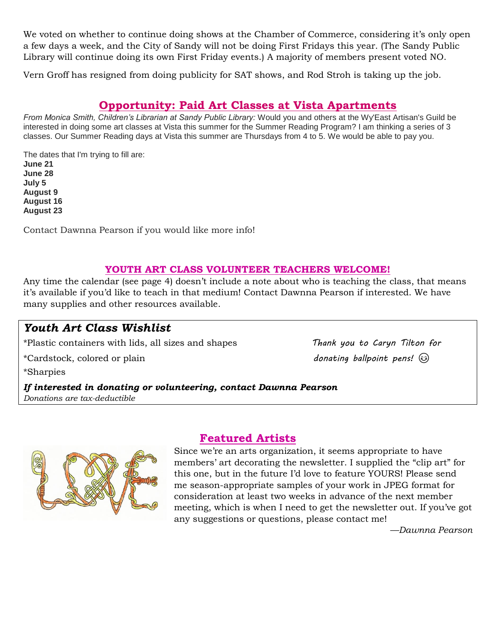We voted on whether to continue doing shows at the Chamber of Commerce, considering it's only open a few days a week, and the City of Sandy will not be doing First Fridays this year. (The Sandy Public Library will continue doing its own First Friday events.) A majority of members present voted NO.

Vern Groff has resigned from doing publicity for SAT shows, and Rod Stroh is taking up the job.

#### **Opportunity: Paid Art Classes at Vista Apartments**

*From Monica Smith, Children's Librarian at Sandy Public Library:* Would you and others at the Wy'East Artisan's Guild be interested in doing some art classes at Vista this summer for the Summer Reading Program? I am thinking a series of 3 classes. Our Summer Reading days at Vista this summer are Thursdays from 4 to 5. We would be able to pay you.

The dates that I'm trying to fill are: **June 21 June 28 July 5 August 9 August 16 August 23**

Contact Dawnna Pearson if you would like more info!

#### **YOUTH ART CLASS VOLUNTEER TEACHERS WELCOME!**

Any time the calendar (see page 4) doesn't include a note about who is teaching the class, that means it's available if you'd like to teach in that medium! Contact Dawnna Pearson if interested. We have many supplies and other resources available.

### *Youth Art Class Wishlist*

\*Plastic containers with lids, all sizes and shapes *Thank you to Caryn Tilton for*

\*Cardstock, colored or plain *donating ballpoint pens!*

\*Sharpies

*If interested in donating or volunteering, contact Dawnna Pearson Donations are tax-deductible*



#### **Featured Artists**

Since we're an arts organization, it seems appropriate to have members' art decorating the newsletter. I supplied the "clip art" for this one, but in the future I'd love to feature YOURS! Please send me season-appropriate samples of your work in JPEG format for consideration at least two weeks in advance of the next member meeting, which is when I need to get the newsletter out. If you've got any suggestions or questions, please contact me!

*—Dawnna Pearson*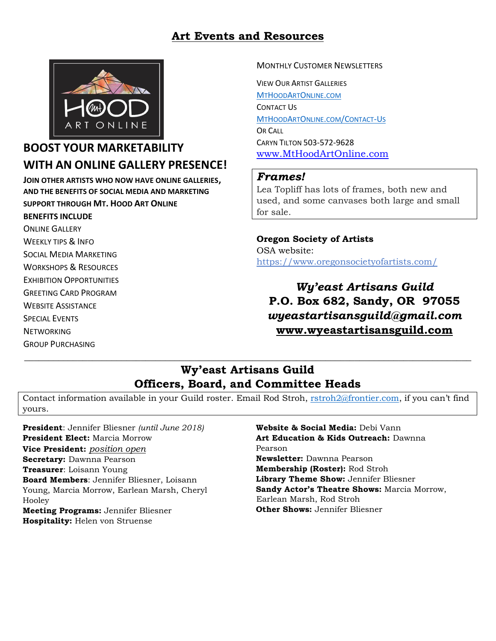## **Art Events and Resources**



## **BOOST YOUR MARKETABILITY WITH AN ONLINE GALLERY PRESENCE!**

**JOIN OTHER ARTISTS WHO NOW HAVE ONLINE GALLERIES, AND THE BENEFITS OF SOCIAL MEDIA AND MARKETING SUPPORT THROUGH MT. HOOD ART ONLINE**

#### **BENEFITS INCLUDE**

ONLINE GALLERY WEEKLY TIPS & INFO SOCIAL MEDIA MARKETING WORKSHOPS & RESOURCES EXHIBITION OPPORTUNITIES GREETING CARD PROGRAM WEBSITE ASSISTANCE SPECIAL EVENTS **NFTWORKING** GROUP PURCHASING

#### MONTHLY CUSTOMER NEWSLETTERS

VIEW OUR ARTIST GALLERIES [M](http://www.mthoodartonline.com/)[T](http://www.mthoodartonline.com/)[H](http://www.mthoodartonline.com/)[OOD](http://www.mthoodartonline.com/)[A](http://www.mthoodartonline.com/)[RT](http://www.mthoodartonline.com/)[O](http://www.mthoodartonline.com/)[NLINE](http://www.mthoodartonline.com/)[.](http://www.mthoodartonline.com/)[COM](http://www.mthoodartonline.com/) CONTACT US [M](http://www.mthoodartonline/Contact-Us)[T](http://www.mthoodartonline/Contact-Us)[H](http://www.mthoodartonline/Contact-Us)[OOD](http://www.mthoodartonline/Contact-Us)[A](http://www.mthoodartonline/Contact-Us)[RT](http://www.mthoodartonline/Contact-Us)[O](http://www.mthoodartonline/Contact-Us)[NLINE](http://www.mthoodartonline/Contact-Us)[.](http://www.mthoodartonline/Contact-Us)[COM](http://www.mthoodartonline/Contact-Us)[/C](http://www.mthoodartonline/Contact-Us)[ONTACT](http://www.mthoodartonline/Contact-Us)[-U](http://www.mthoodartonline/Contact-Us)[S](http://www.mthoodartonline/Contact-Us) OR CALL CARYN TILTON 503-572-9628 [www.MtHoodArtOnline.com](http://www.mthoodartonline.com/)

#### *Frames!*

Lea Topliff has lots of frames, both new and used, and some canvases both large and small for sale.

**Oregon Society of Artists** OSA website: <https://www.oregonsocietyofartists.com/>

*Wy'east Artisans Guild* **P.O. Box 682, Sandy, OR 97055** *wyeastartisansguild@gmail.com* **[www.wyeastartisansguild.com](http://www.wyeastartisansguild.com/)**

### **Wy'east Artisans Guild Officers, Board, and Committee Heads**

 $\_$  , and the set of the set of the set of the set of the set of the set of the set of the set of the set of the set of the set of the set of the set of the set of the set of the set of the set of the set of the set of th

Contact information available in your Guild roster. Email Rod Stroh, [rstroh2@frontier.com](mailto:rstroh2@frontier.com), if you can't find yours.

**President**: Jennifer Bliesner *(until June 2018)* **President Elect:** Marcia Morrow **Vice President:** *position open* **Secretary:** Dawnna Pearson **Treasurer**: Loisann Young **Board Members**: Jennifer Bliesner, Loisann Young, Marcia Morrow, Earlean Marsh, Cheryl Hooley **Meeting Programs:** Jennifer Bliesner **Hospitality:** Helen von Struense

**Website & Social Media:** Debi Vann **Art Education & Kids Outreach:** Dawnna Pearson **Newsletter:** Dawnna Pearson **Membership (Roster):** Rod Stroh **Library Theme Show:** Jennifer Bliesner **Sandy Actor's Theatre Shows:** Marcia Morrow, Earlean Marsh, Rod Stroh **Other Shows:** Jennifer Bliesner